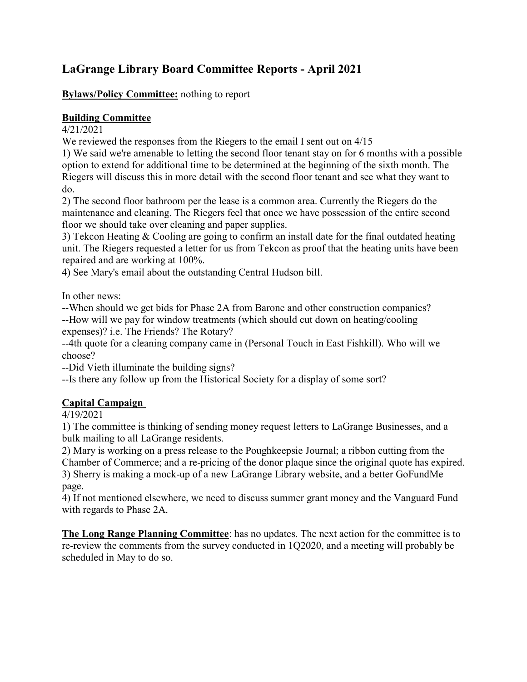# **LaGrange Library Board Committee Reports - April 2021**

#### **Bylaws/Policy Committee:** nothing to report

### **Building Committee**

#### 4/21/2021

We reviewed the responses from the Riegers to the email I sent out on 4/15

1) We said we're amenable to letting the second floor tenant stay on for 6 months with a possible option to extend for additional time to be determined at the beginning of the sixth month. The Riegers will discuss this in more detail with the second floor tenant and see what they want to do.

2) The second floor bathroom per the lease is a common area. Currently the Riegers do the maintenance and cleaning. The Riegers feel that once we have possession of the entire second floor we should take over cleaning and paper supplies.

3) Tekcon Heating & Cooling are going to confirm an install date for the final outdated heating unit. The Riegers requested a letter for us from Tekcon as proof that the heating units have been repaired and are working at 100%.

4) See Mary's email about the outstanding Central Hudson bill.

In other news:

--When should we get bids for Phase 2A from Barone and other construction companies? --How will we pay for window treatments (which should cut down on heating/cooling expenses)? i.e. The Friends? The Rotary?

--4th quote for a cleaning company came in (Personal Touch in East Fishkill). Who will we choose?

--Did Vieth illuminate the building signs?

--Is there any follow up from the Historical Society for a display of some sort?

## **Capital Campaign**

4/19/2021

1) The committee is thinking of sending money request letters to LaGrange Businesses, and a bulk mailing to all LaGrange residents.

2) Mary is working on a press release to the Poughkeepsie Journal; a ribbon cutting from the Chamber of Commerce; and a re-pricing of the donor plaque since the original quote has expired. 3) Sherry is making a mock-up of a new LaGrange Library website, and a better GoFundMe page.

4) If not mentioned elsewhere, we need to discuss summer grant money and the Vanguard Fund with regards to Phase 2A.

**The Long Range Planning Committee**: has no updates. The next action for the committee is to re-review the comments from the survey conducted in 1Q2020, and a meeting will probably be scheduled in May to do so.